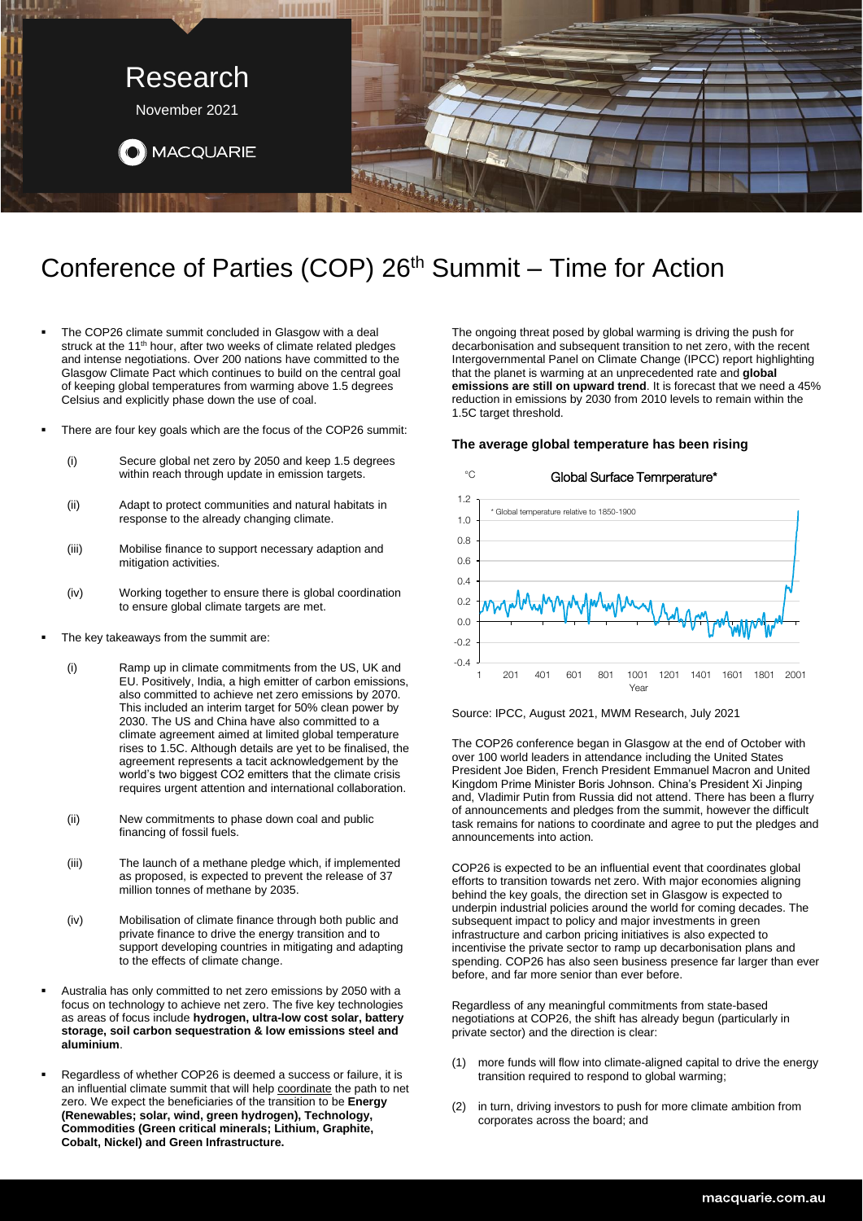

# Conference of Parties (COP) 26<sup>th</sup> Summit – Time for Action

- The COP26 climate summit concluded in Glasgow with a deal struck at the 11<sup>th</sup> hour, after two weeks of climate related pledges and intense negotiations. Over 200 nations have committed to the Glasgow Climate Pact which continues to build on the central goal of keeping global temperatures from warming above 1.5 degrees Celsius and explicitly phase down the use of coal.
- There are four key goals which are the focus of the COP26 summit:
	- (i) Secure global net zero by 2050 and keep 1.5 degrees within reach through update in emission targets.
	- (ii) Adapt to protect communities and natural habitats in response to the already changing climate.
	- (iii) Mobilise finance to support necessary adaption and mitigation activities.
	- (iv) Working together to ensure there is global coordination to ensure global climate targets are met.
- The key takeaways from the summit are:
	- (i) Ramp up in climate commitments from the US, UK and EU. Positively, India, a high emitter of carbon emissions, also committed to achieve net zero emissions by 2070. This included an interim target for 50% clean power by 2030. The US and China have also committed to a climate agreement aimed at limited global temperature rises to 1.5C. Although details are yet to be finalised, the agreement represents a tacit acknowledgement by the world's two biggest CO2 emitters that the climate crisis requires urgent attention and international collaboration.
	- (ii) New commitments to phase down coal and public financing of fossil fuels.
	- (iii) The launch of a methane pledge which, if implemented as proposed, is expected to prevent the release of 37 million tonnes of methane by 2035.
	- (iv) Mobilisation of climate finance through both public and private finance to drive the energy transition and to support developing countries in mitigating and adapting to the effects of climate change.
- Australia has only committed to net zero emissions by 2050 with a focus on technology to achieve net zero. The five key technologies as areas of focus include **hydrogen, ultra-low cost solar, battery storage, soil carbon sequestration & low emissions steel and aluminium**.
- Regardless of whether COP26 is deemed a success or failure, it is an influential climate summit that will help coordinate the path to net zero. We expect the beneficiaries of the transition to be **Energy (Renewables; solar, wind, green hydrogen), Technology, Commodities (Green critical minerals; Lithium, Graphite, Cobalt, Nickel) and Green Infrastructure.**

The ongoing threat posed by global warming is driving the push for decarbonisation and subsequent transition to net zero, with the recent Intergovernmental Panel on Climate Change (IPCC) report highlighting that the planet is warming at an unprecedented rate and **global emissions are still on upward trend**. It is forecast that we need a 45% reduction in emissions by 2030 from 2010 levels to remain within the 1.5C target threshold.

### **The average global temperature has been rising**



Source: IPCC, August 2021, MWM Research, July 2021

The COP26 conference began in Glasgow at the end of October with over 100 world leaders in attendance including the United States President Joe Biden, French President Emmanuel Macron and United Kingdom Prime Minister Boris Johnson. China's President Xi Jinping and, Vladimir Putin from Russia did not attend. There has been a flurry of announcements and pledges from the summit, however the difficult task remains for nations to coordinate and agree to put the pledges and announcements into action.

COP26 is expected to be an influential event that coordinates global efforts to transition towards net zero. With major economies aligning behind the key goals, the direction set in Glasgow is expected to underpin industrial policies around the world for coming decades. The subsequent impact to policy and major investments in green infrastructure and carbon pricing initiatives is also expected to incentivise the private sector to ramp up decarbonisation plans and spending. COP26 has also seen business presence far larger than ever before, and far more senior than ever before.

Regardless of any meaningful commitments from state-based negotiations at COP26, the shift has already begun (particularly in private sector) and the direction is clear:

- (1) more funds will flow into climate-aligned capital to drive the energy transition required to respond to global warming;
- (2) in turn, driving investors to push for more climate ambition from corporates across the board; and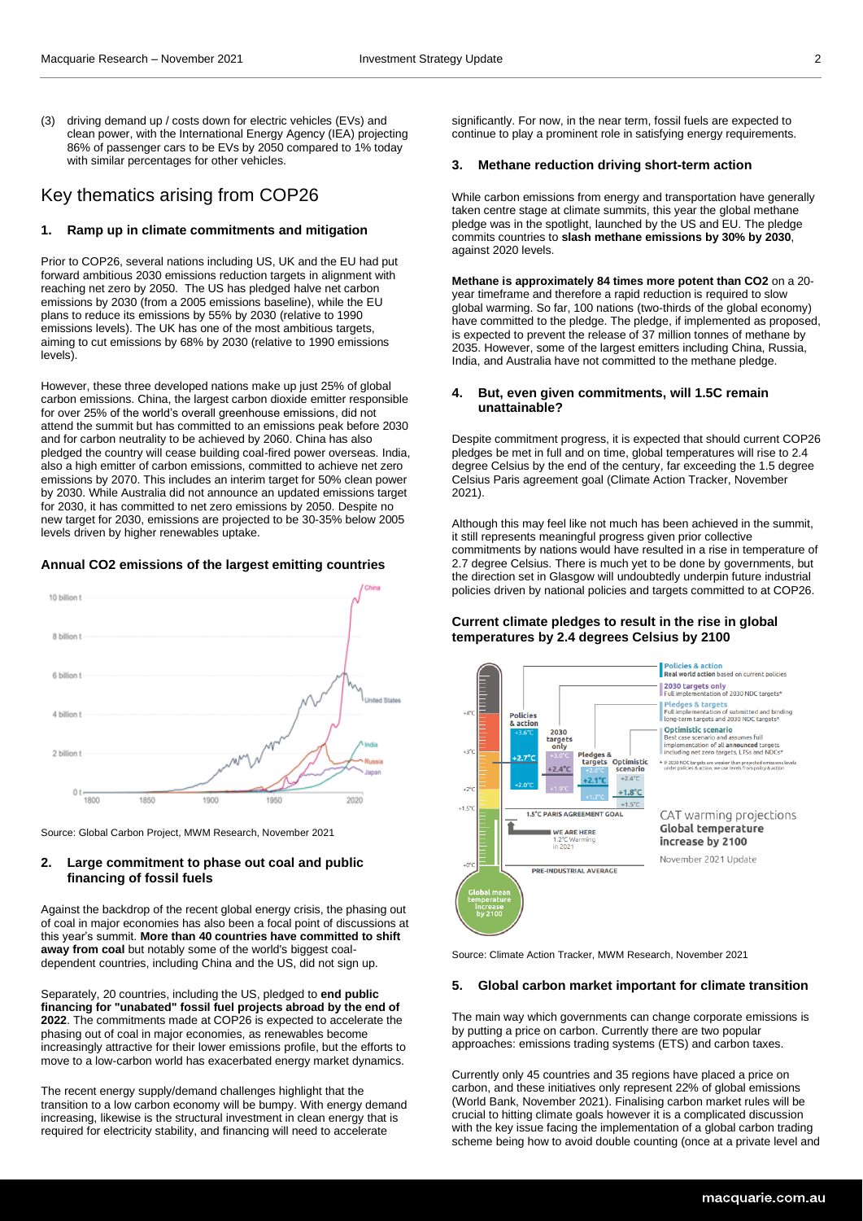(3) driving demand up / costs down for electric vehicles (EVs) and clean power, with the International Energy Agency (IEA) projecting 86% of passenger cars to be EVs by 2050 compared to 1% today with similar percentages for other vehicles.

# Key thematics arising from COP26

# **1. Ramp up in climate commitments and mitigation**

Prior to COP26, several nations including US, UK and the EU had put forward ambitious 2030 emissions reduction targets in alignment with reaching net zero by 2050. The US has pledged halve net carbon emissions by 2030 (from a 2005 emissions baseline), while the EU plans to reduce its emissions by 55% by 2030 (relative to 1990 emissions levels). The UK has one of the most ambitious targets, aiming to cut emissions by 68% by 2030 (relative to 1990 emissions levels).

However, these three developed nations make up just 25% of global carbon emissions. China, the largest carbon dioxide emitter responsible for over 25% of the world's overall greenhouse emissions, did not attend the summit but has committed to an emissions peak before 2030 and for carbon neutrality to be achieved by 2060. China has also pledged the country will cease building coal-fired power overseas. India, also a high emitter of carbon emissions, committed to achieve net zero emissions by 2070. This includes an interim target for 50% clean power by 2030. While Australia did not announce an updated emissions target for 2030, it has committed to net zero emissions by 2050. Despite no new target for 2030, emissions are projected to be 30-35% below 2005 levels driven by higher renewables uptake.

#### **Annual CO2 emissions of the largest emitting countries**



Source: Global Carbon Project, MWM Research, November 2021

# **2. Large commitment to phase out coal and public financing of fossil fuels**

Against the backdrop of the recent global energy crisis, the phasing out of coal in major economies has also been a focal point of discussions at this year's summit. **More than 40 countries have committed to shift away from coal** but notably some of the world's biggest coaldependent countries, including China and the US, did not sign up.

Separately, 20 countries, including the US, pledged to **end public financing for "unabated" fossil fuel projects abroad by the end of 2022**. The commitments made at COP26 is expected to accelerate the phasing out of coal in major economies, as renewables become increasingly attractive for their lower emissions profile, but the efforts to move to a low-carbon world has exacerbated energy market dynamics.

The recent energy supply/demand challenges highlight that the transition to a low carbon economy will be bumpy. With energy demand increasing, likewise is the structural investment in clean energy that is required for electricity stability, and financing will need to accelerate

significantly. For now, in the near term, fossil fuels are expected to continue to play a prominent role in satisfying energy requirements.

#### **3. Methane reduction driving short-term action**

While carbon emissions from energy and transportation have generally taken centre stage at climate summits, this year the global methane pledge was in the spotlight, launched by the US and EU. The pledge commits countries to **slash methane emissions by 30% by 2030**, against 2020 levels.

**Methane is approximately 84 times more potent than CO2** on a 20 year timeframe and therefore a rapid reduction is required to slow global warming. So far, 100 nations (two-thirds of the global economy) have committed to the pledge. The pledge, if implemented as proposed, is expected to prevent the release of 37 million tonnes of methane by 2035. However, some of the largest emitters including China, Russia, India, and Australia have not committed to the methane pledge.

## **4. But, even given commitments, will 1.5C remain unattainable?**

Despite commitment progress, it is expected that should current COP26 pledges be met in full and on time, global temperatures will rise to 2.4 degree Celsius by the end of the century, far exceeding the 1.5 degree Celsius Paris agreement goal (Climate Action Tracker, November 2021).

Although this may feel like not much has been achieved in the summit, it still represents meaningful progress given prior collective commitments by nations would have resulted in a rise in temperature of 2.7 degree Celsius. There is much yet to be done by governments, but the direction set in Glasgow will undoubtedly underpin future industrial policies driven by national policies and targets committed to at COP26.

## **Current climate pledges to result in the rise in global temperatures by 2.4 degrees Celsius by 2100**



Source: Climate Action Tracker, MWM Research, November 2021

#### **5. Global carbon market important for climate transition**

The main way which governments can change corporate emissions is by putting a price on carbon. Currently there are two popular approaches: emissions trading systems (ETS) and carbon taxes.

Currently only 45 countries and 35 regions have placed a price on carbon, and these initiatives only represent 22% of global emissions (World Bank, November 2021). Finalising carbon market rules will be crucial to hitting climate goals however it is a complicated discussion with the key issue facing the implementation of a global carbon trading scheme being how to avoid double counting (once at a private level and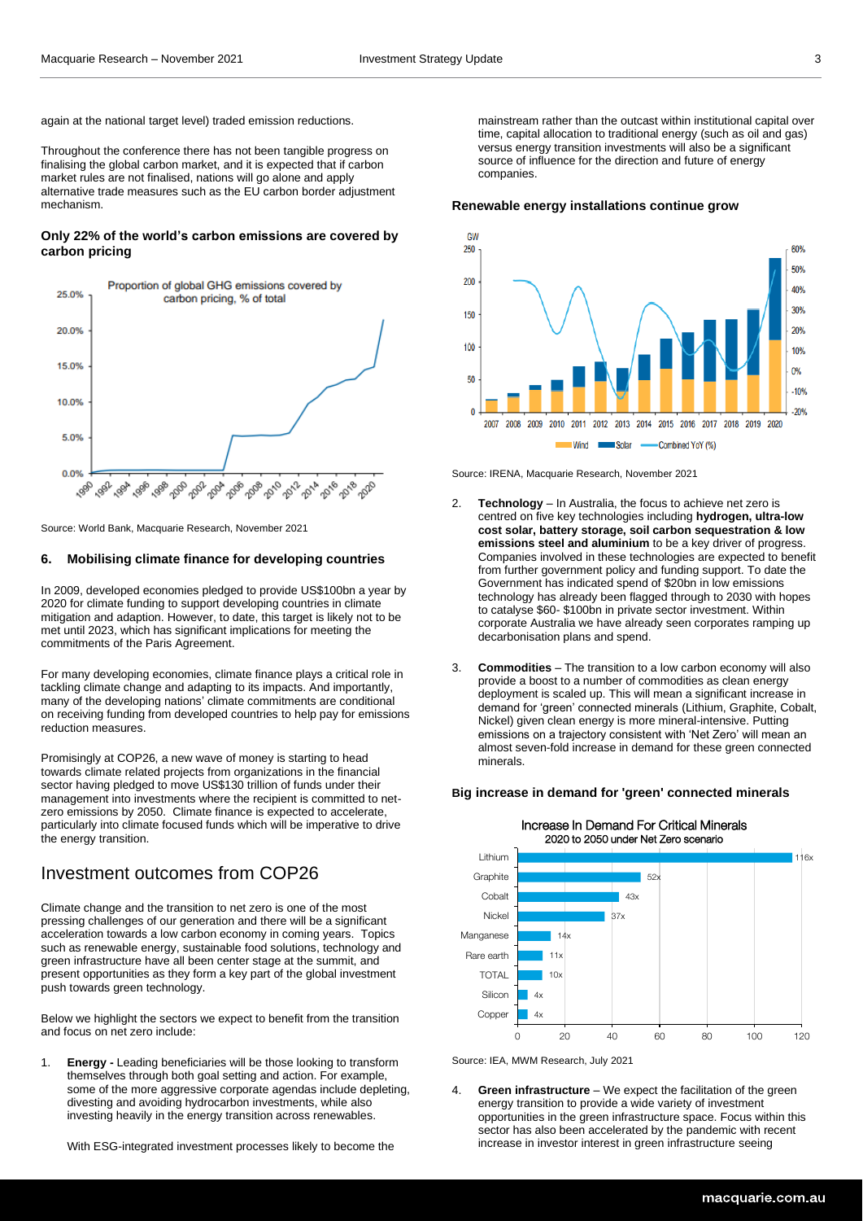again at the national target level) traded emission reductions.

Throughout the conference there has not been tangible progress on finalising the global carbon market, and it is expected that if carbon market rules are not finalised, nations will go alone and apply alternative trade measures such as the EU carbon border adjustment mechanism.

# **Only 22% of the world's carbon emissions are covered by carbon pricing**



Source: World Bank, Macquarie Research, November 2021

## **6. Mobilising climate finance for developing countries**

In 2009, developed economies pledged to provide US\$100bn a year by 2020 for climate funding to support developing countries in climate mitigation and adaption. However, to date, this target is likely not to be met until 2023, which has significant implications for meeting the commitments of the Paris Agreement.

For many developing economies, climate finance plays a critical role in tackling climate change and adapting to its impacts. And importantly, many of the developing nations' climate commitments are conditional on receiving funding from developed countries to help pay for emissions reduction measures.

Promisingly at COP26, a new wave of money is starting to head towards climate related projects from organizations in the financial sector having pledged to move US\$130 trillion of funds under their management into investments where the recipient is committed to netzero emissions by 2050. Climate finance is expected to accelerate, particularly into climate focused funds which will be imperative to drive the energy transition.

# Investment outcomes from COP26

Climate change and the transition to net zero is one of the most pressing challenges of our generation and there will be a significant acceleration towards a low carbon economy in coming years. Topics such as renewable energy, sustainable food solutions, technology and green infrastructure have all been center stage at the summit, and present opportunities as they form a key part of the global investment push towards green technology.

Below we highlight the sectors we expect to benefit from the transition and focus on net zero include:

1. **Energy -** Leading beneficiaries will be those looking to transform themselves through both goal setting and action. For example, some of the more aggressive corporate agendas include depleting, divesting and avoiding hydrocarbon investments, while also investing heavily in the energy transition across renewables.

With ESG-integrated investment processes likely to become the

mainstream rather than the outcast within institutional capital over time, capital allocation to traditional energy (such as oil and gas) versus energy transition investments will also be a significant source of influence for the direction and future of energy companies.

#### **Renewable energy installations continue grow**



Source: IRENA, Macquarie Research, November 2021

- 2. **Technology** In Australia, the focus to achieve net zero is centred on five key technologies including **hydrogen, ultra-low cost solar, battery storage, soil carbon sequestration & low emissions steel and aluminium** to be a key driver of progress. Companies involved in these technologies are expected to benefit from further government policy and funding support. To date the Government has indicated spend of \$20bn in low emissions technology has already been flagged through to 2030 with hopes to catalyse \$60- \$100bn in private sector investment. Within corporate Australia we have already seen corporates ramping up decarbonisation plans and spend.
- 3. **Commodities** The transition to a low carbon economy will also provide a boost to a number of commodities as clean energy deployment is scaled up. This will mean a significant increase in demand for 'green' connected minerals (Lithium, Graphite, Cobalt, Nickel) given clean energy is more mineral-intensive. Putting emissions on a trajectory consistent with 'Net Zero' will mean an almost seven-fold increase in demand for these green connected minerals.

#### **Big increase in demand for 'green' connected minerals**



Source: IEA, MWM Research, July 2021

4. **Green infrastructure** – We expect the facilitation of the green energy transition to provide a wide variety of investment opportunities in the green infrastructure space. Focus within this sector has also been accelerated by the pandemic with recent increase in investor interest in green infrastructure seeing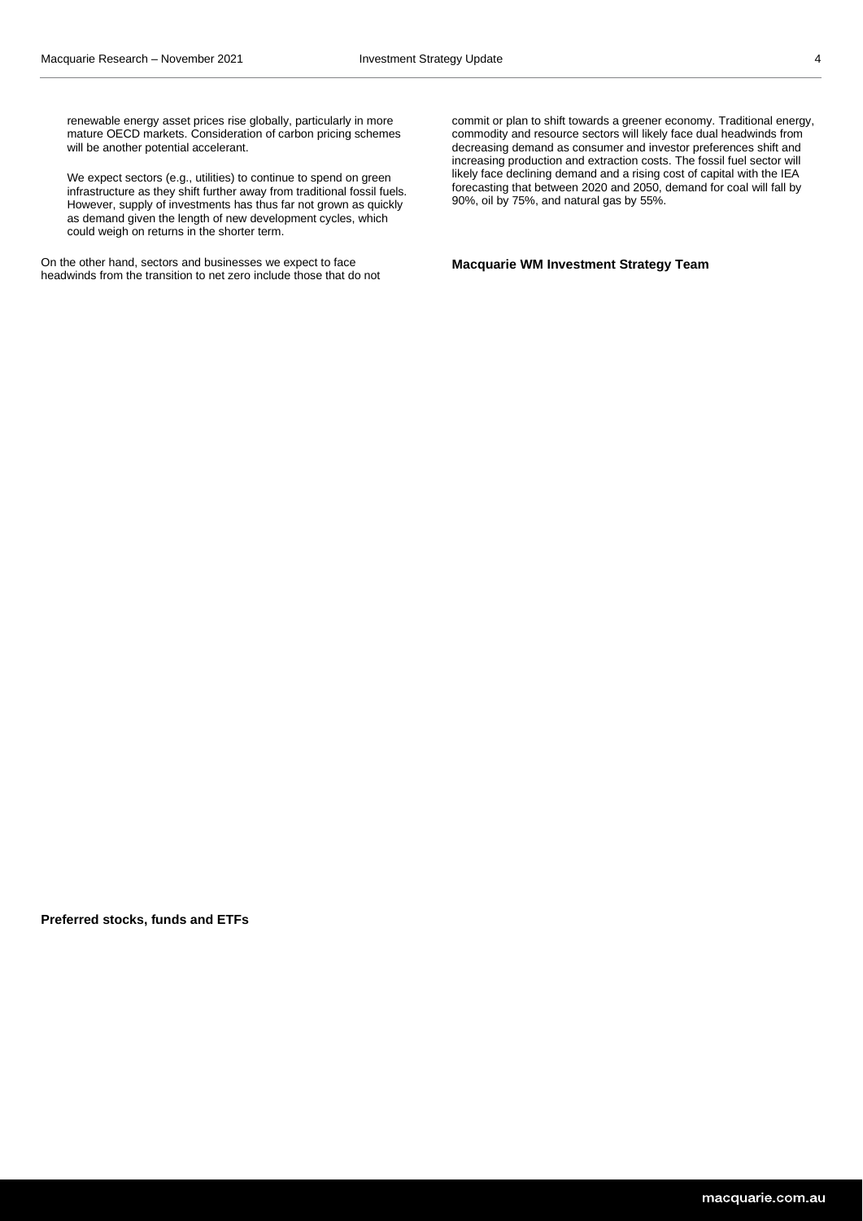renewable energy asset prices rise globally, particularly in more mature OECD markets. Consideration of carbon pricing schemes will be another potential accelerant.

We expect sectors (e.g., utilities) to continue to spend on green infrastructure as they shift further away from traditional fossil fuels. However, supply of investments has thus far not grown as quickly as demand given the length of new development cycles, which could weigh on returns in the shorter term.

On the other hand, sectors and businesses we expect to face headwinds from the transition to net zero include those that do not commit or plan to shift towards a greener economy. Traditional energy, commodity and resource sectors will likely face dual headwinds from decreasing demand as consumer and investor preferences shift and increasing production and extraction costs. The fossil fuel sector will likely face declining demand and a rising cost of capital with the IEA forecasting that between 2020 and 2050, demand for coal will fall by 90%, oil by 75%, and natural gas by 55%.

**Macquarie WM Investment Strategy Team**

**Preferred stocks, funds and ETFs**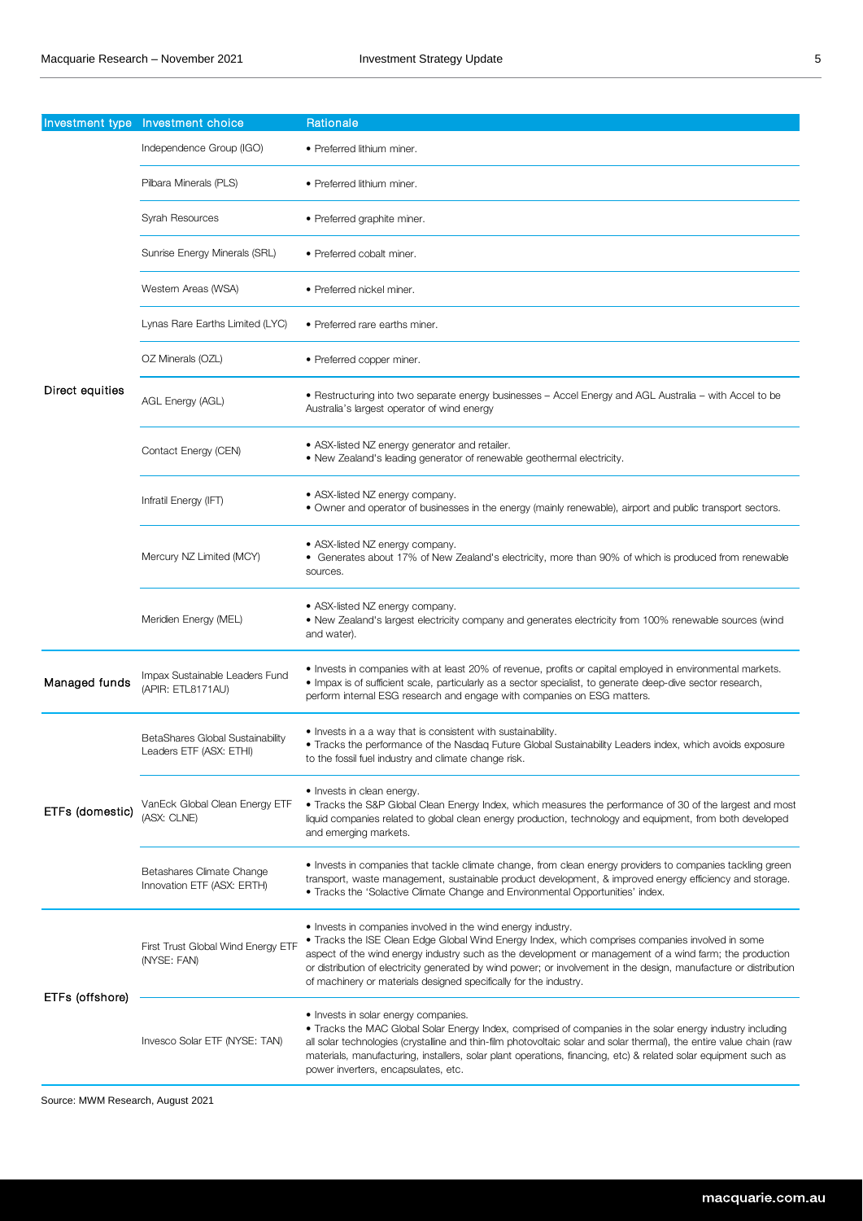| Investment type | Investment choice                                           | Rationale                                                                                                                                                                                                                                                                                                                                                                                                                                                             |
|-----------------|-------------------------------------------------------------|-----------------------------------------------------------------------------------------------------------------------------------------------------------------------------------------------------------------------------------------------------------------------------------------------------------------------------------------------------------------------------------------------------------------------------------------------------------------------|
| Direct equities | Independence Group (IGO)                                    | • Preferred lithium miner.                                                                                                                                                                                                                                                                                                                                                                                                                                            |
|                 | Pilbara Minerals (PLS)                                      | • Preferred lithium miner.                                                                                                                                                                                                                                                                                                                                                                                                                                            |
|                 | Syrah Resources                                             | • Preferred graphite miner.                                                                                                                                                                                                                                                                                                                                                                                                                                           |
|                 | Sunrise Energy Minerals (SRL)                               | • Preferred cobalt miner.                                                                                                                                                                                                                                                                                                                                                                                                                                             |
|                 | Western Areas (WSA)                                         | · Preferred nickel miner.                                                                                                                                                                                                                                                                                                                                                                                                                                             |
|                 | Lynas Rare Earths Limited (LYC)                             | • Preferred rare earths miner.                                                                                                                                                                                                                                                                                                                                                                                                                                        |
|                 | OZ Minerals (OZL)                                           | • Preferred copper miner.                                                                                                                                                                                                                                                                                                                                                                                                                                             |
|                 | AGL Energy (AGL)                                            | • Restructuring into two separate energy businesses – Accel Energy and AGL Australia – with Accel to be<br>Australia's largest operator of wind energy                                                                                                                                                                                                                                                                                                                |
|                 | Contact Energy (CEN)                                        | • ASX-listed NZ energy generator and retailer.<br>• New Zealand's leading generator of renewable geothermal electricity.                                                                                                                                                                                                                                                                                                                                              |
|                 | Infratil Energy (IFT)                                       | • ASX-listed NZ energy company.<br>• Owner and operator of businesses in the energy (mainly renewable), airport and public transport sectors.                                                                                                                                                                                                                                                                                                                         |
|                 | Mercury NZ Limited (MCY)                                    | • ASX-listed NZ energy company.<br>• Generates about 17% of New Zealand's electricity, more than 90% of which is produced from renewable<br>sources.                                                                                                                                                                                                                                                                                                                  |
|                 | Meridien Energy (MEL)                                       | • ASX-listed NZ energy company.<br>• New Zealand's largest electricity company and generates electricity from 100% renewable sources (wind<br>and water).                                                                                                                                                                                                                                                                                                             |
| Managed funds   | Impax Sustainable Leaders Fund<br>(APIR: ETL8171AU)         | • Invests in companies with at least 20% of revenue, profits or capital employed in environmental markets.<br>. Impax is of sufficient scale, particularly as a sector specialist, to generate deep-dive sector research,<br>perform internal ESG research and engage with companies on ESG matters.                                                                                                                                                                  |
| ETFs (domestic) | BetaShares Global Sustainability<br>Leaders ETF (ASX: ETHI) | • Invests in a a way that is consistent with sustainability.<br>• Tracks the performance of the Nasdag Future Global Sustainability Leaders index, which avoids exposure<br>to the fossil fuel industry and climate change risk.                                                                                                                                                                                                                                      |
|                 | VanEck Global Clean Energy ETF<br>(ASX: CLNE)               | • Invests in clean energy.<br>• Tracks the S&P Global Clean Energy Index, which measures the performance of 30 of the largest and most<br>liquid companies related to global clean energy production, technology and equipment, from both developed<br>and emerging markets.                                                                                                                                                                                          |
|                 | Betashares Climate Change<br>Innovation ETF (ASX: ERTH)     | • Invests in companies that tackle climate change, from clean energy providers to companies tackling green<br>transport, waste management, sustainable product development, & improved energy efficiency and storage.<br>• Tracks the 'Solactive Climate Change and Environmental Opportunities' index.                                                                                                                                                               |
| ETFs (offshore) | First Trust Global Wind Energy ETF<br>(NYSE: FAN)           | • Invests in companies involved in the wind energy industry.<br>• Tracks the ISE Clean Edge Global Wind Energy Index, which comprises companies involved in some<br>aspect of the wind energy industry such as the development or management of a wind farm; the production<br>or distribution of electricity generated by wind power; or involvement in the design, manufacture or distribution<br>of machinery or materials designed specifically for the industry. |
|                 | Invesco Solar ETF (NYSE: TAN)                               | • Invests in solar energy companies.<br>• Tracks the MAC Global Solar Energy Index, comprised of companies in the solar energy industry including<br>all solar technologies (crystalline and thin-film photovoltaic solar and solar thermal), the entire value chain (raw<br>materials, manufacturing, installers, solar plant operations, financing, etc) & related solar equipment such as<br>power inverters, encapsulates, etc.                                   |